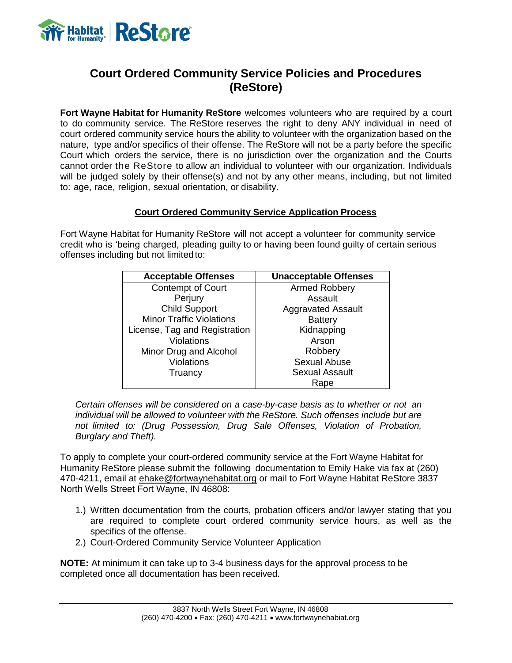

## **Court Ordered Community Service Policies and Procedures (ReStore)**

**Fort Wayne Habitat for Humanity ReStore** welcomes volunteers who are required by a court to do community service. The ReStore reserves the right to deny ANY individual in need of court ordered community service hours the ability to volunteer with the organization based on the nature, type and/or specifics of their offense. The ReStore will not be a party before the specific Court which orders the service, there is no jurisdiction over the organization and the Courts cannot order the ReStore to allow an individual to volunteer with our organization. Individuals will be judged solely by their offense(s) and not by any other means, including, but not limited to: age, race, religion, sexual orientation, or disability.

### **Court Ordered Community Service Application Process**

Fort Wayne Habitat for Humanity ReStore will not accept a volunteer for community service credit who is 'being charged, pleading guilty to or having been found guilty of certain serious offenses including but not limited to:

| <b>Acceptable Offenses</b>      | <b>Unacceptable Offenses</b> |
|---------------------------------|------------------------------|
| <b>Contempt of Court</b>        | <b>Armed Robbery</b>         |
| Perjury                         | Assault                      |
| <b>Child Support</b>            | <b>Aggravated Assault</b>    |
| <b>Minor Traffic Violations</b> | <b>Battery</b>               |
| License, Tag and Registration   | Kidnapping                   |
| <b>Violations</b>               | Arson                        |
| Minor Drug and Alcohol          | Robbery                      |
| Violations                      | Sexual Abuse                 |
| Truancy                         | <b>Sexual Assault</b>        |
|                                 | Rape                         |

*Certain offenses will be considered on a case-by-case basis as to whether or not an individual will be allowed to volunteer with the ReStore. Such offenses include but are not limited to: (Drug Possession, Drug Sale Offenses, Violation of Probation, Burglary and Theft).*

To apply to complete your court-ordered community service at the Fort Wayne Habitat for Humanity ReStore please submit the following documentation to Emily Hake via fax at (260) 470-4211, email at [ehake@fortwaynehabitat.org](mailto:ehake@fortwaynehabitat.org) or mail to Fort Wayne Habitat ReStore 3837 North Wells Street Fort Wayne, IN 46808:

- 1.) Written documentation from the courts, probation officers and/or lawyer stating that you are required to complete court ordered community service hours, as well as the specifics of the offense.
- 2.) Court-Ordered Community Service Volunteer Application

**NOTE:** At minimum it can take up to 3-4 business days for the approval process to be completed once all documentation has been received.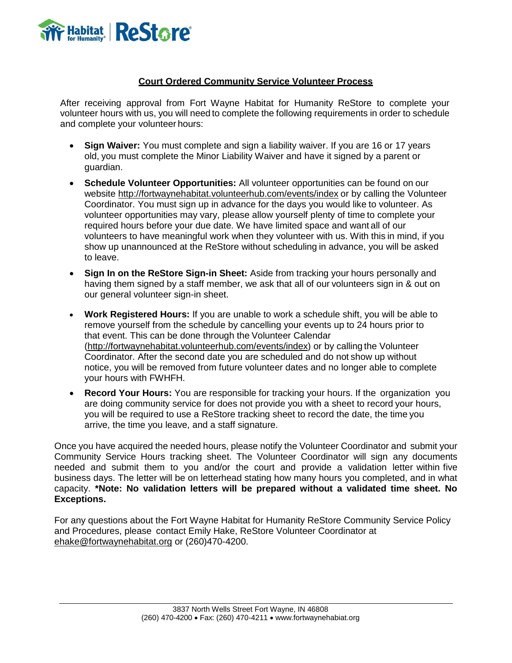

### **Court Ordered Community Service Volunteer Process**

After receiving approval from Fort Wayne Habitat for Humanity ReStore to complete your volunteer hours with us, you will need to complete the following requirements in order to schedule and complete your volunteer hours:

- **Sign Waiver:** You must complete and sign a liability waiver. If you are 16 or 17 years old, you must complete the Minor Liability Waiver and have it signed by a parent or guardian.
- **Schedule Volunteer Opportunities:** All volunteer opportunities can be found on our website<http://fortwaynehabitat.volunteerhub.com/events/index> or by calling the Volunteer Coordinator. You must sign up in advance for the days you would like to volunteer. As volunteer opportunities may vary, please allow yourself plenty of time to complete your required hours before your due date. We have limited space and want all of our volunteers to have meaningful work when they volunteer with us. With this in mind, if you show up unannounced at the ReStore without scheduling in advance, you will be asked to leave.
- **Sign In on the ReStore Sign-in Sheet:** Aside from tracking your hours personally and having them signed by a staff member, we ask that all of our volunteers sign in & out on our general volunteer sign-in sheet.
- **Work Registered Hours:** If you are unable to work a schedule shift, you will be able to remove yourself from the schedule by cancelling your events up to 24 hours prior to that event. This can be done through the Volunteer Calendar [\(http://fortwaynehabitat.volunteerhub.com/events/index\)](http://fortwaynehabitat.volunteerhub.com/events/index) or by calling the Volunteer Coordinator. After the second date you are scheduled and do not show up without notice, you will be removed from future volunteer dates and no longer able to complete your hours with FWHFH.
- **Record Your Hours:** You are responsible for tracking your hours. If the organization you are doing community service for does not provide you with a sheet to record your hours, you will be required to use a ReStore tracking sheet to record the date, the time you arrive, the time you leave, and a staff signature.

Once you have acquired the needed hours, please notify the Volunteer Coordinator and submit your Community Service Hours tracking sheet. The Volunteer Coordinator will sign any documents needed and submit them to you and/or the court and provide a validation letter within five business days. The letter will be on letterhead stating how many hours you completed, and in what capacity. **\*Note: No validation letters will be prepared without a validated time sheet. No Exceptions.**

For any questions about the Fort Wayne Habitat for Humanity ReStore Community Service Policy and Procedures, please contact Emily Hake, ReStore Volunteer Coordinator at [ehake@fortwaynehabitat.org](mailto:ehake@fortwaynehabitat.org) or (260)470-4200.